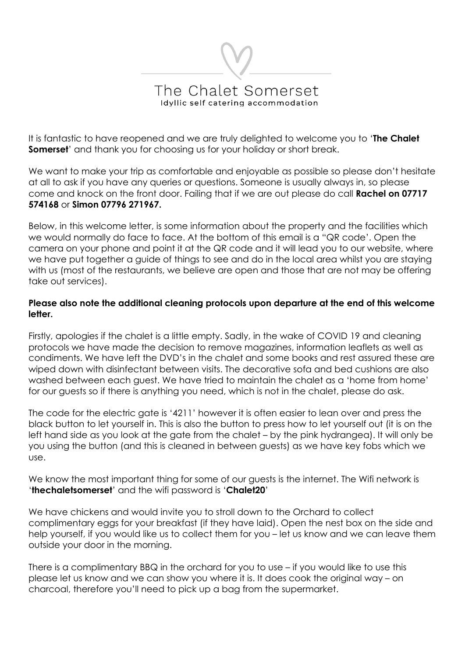## The Chalet Somerset Idvilic self catering accommodation

It is fantastic to have reopened and we are truly delighted to welcome you to '**The Chalet Somerset'** and thank you for choosing us for your holiday or short break.

We want to make your trip as comfortable and enjoyable as possible so please don't hesitate at all to ask if you have any queries or questions. Someone is usually always in, so please come and knock on the front door. Failing that if we are out please do call **Rachel on 07717 574168** or **Simon 07796 271967.** 

Below, in this welcome letter, is some information about the property and the facilities which we would normally do face to face. At the bottom of this email is a "QR code'. Open the camera on your phone and point it at the QR code and it will lead you to our website, where we have put together a guide of things to see and do in the local area whilst you are staying with us (most of the restaurants, we believe are open and those that are not may be offering take out services).

#### **Please also note the additional cleaning protocols upon departure at the end of this welcome letter.**

Firstly, apologies if the chalet is a little empty. Sadly, in the wake of COVID 19 and cleaning protocols we have made the decision to remove magazines, information leaflets as well as condiments. We have left the DVD's in the chalet and some books and rest assured these are wiped down with disinfectant between visits. The decorative sofa and bed cushions are also washed between each guest. We have tried to maintain the chalet as a 'home from home' for our guests so if there is anything you need, which is not in the chalet, please do ask.

The code for the electric gate is '4211' however it is often easier to lean over and press the black button to let yourself in. This is also the button to press how to let yourself out (it is on the left hand side as you look at the gate from the chalet – by the pink hydrangea). It will only be you using the button (and this is cleaned in between guests) as we have key fobs which we use.

We know the most important thing for some of our guests is the internet. The Wifi network is '**thechaletsomerset**' and the wifi password is '**Chalet20**'

We have chickens and would invite you to stroll down to the Orchard to collect complimentary eggs for your breakfast (if they have laid). Open the nest box on the side and help yourself, if you would like us to collect them for you – let us know and we can leave them outside your door in the morning.

There is a complimentary BBQ in the orchard for you to use – if you would like to use this please let us know and we can show you where it is. It does cook the original way – on charcoal, therefore you'll need to pick up a bag from the supermarket.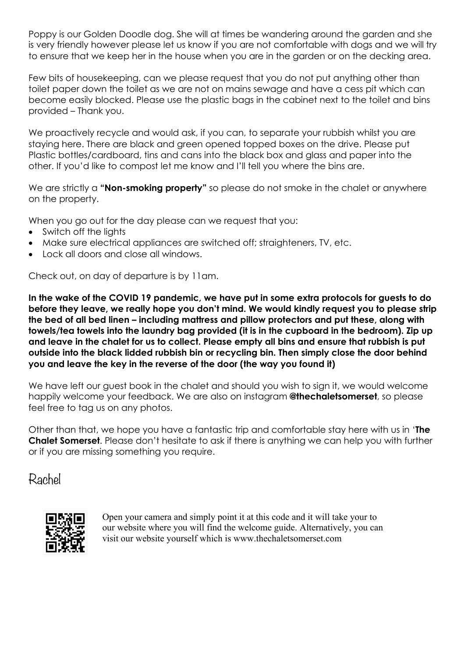Poppy is our Golden Doodle dog. She will at times be wandering around the garden and she is very friendly however please let us know if you are not comfortable with dogs and we will try to ensure that we keep her in the house when you are in the garden or on the decking area.

Few bits of housekeeping, can we please request that you do not put anything other than toilet paper down the toilet as we are not on mains sewage and have a cess pit which can become easily blocked. Please use the plastic bags in the cabinet next to the toilet and bins provided – Thank you.

We proactively recycle and would ask, if you can, to separate your rubbish whilst you are staying here. There are black and green opened topped boxes on the drive. Please put Plastic bottles/cardboard, tins and cans into the black box and glass and paper into the other. If you'd like to compost let me know and I'll tell you where the bins are.

We are strictly a "**Non-smoking property**" so please do not smoke in the chalet or anywhere on the property.

When you go out for the day please can we request that you:

- Switch off the lights
- Make sure electrical appliances are switched off; straighteners, TV, etc.
- Lock all doors and close all windows.

Check out, on day of departure is by 11am.

**In the wake of the COVID 19 pandemic, we have put in some extra protocols for guests to do before they leave, we really hope you don't mind. We would kindly request you to please strip the bed of all bed linen – including mattress and pillow protectors and put these, along with towels/tea towels into the laundry bag provided (it is in the cupboard in the bedroom). Zip up and leave in the chalet for us to collect. Please empty all bins and ensure that rubbish is put outside into the black lidded rubbish bin or recycling bin. Then simply close the door behind you and leave the key in the reverse of the door (the way you found it)**

We have left our guest book in the chalet and should you wish to sign it, we would welcome happily welcome your feedback. We are also on instagram **@thechaletsomerset**, so please feel free to tag us on any photos.

Other than that, we hope you have a fantastic trip and comfortable stay here with us in '**The Chalet Somerset**. Please don't hesitate to ask if there is anything we can help you with further or if you are missing something you require.

Rachel



Open your camera and simply point it at this code and it will take your to our website where you will find the welcome guide. Alternatively, you can visit our website yourself which is www.thechaletsomerset.com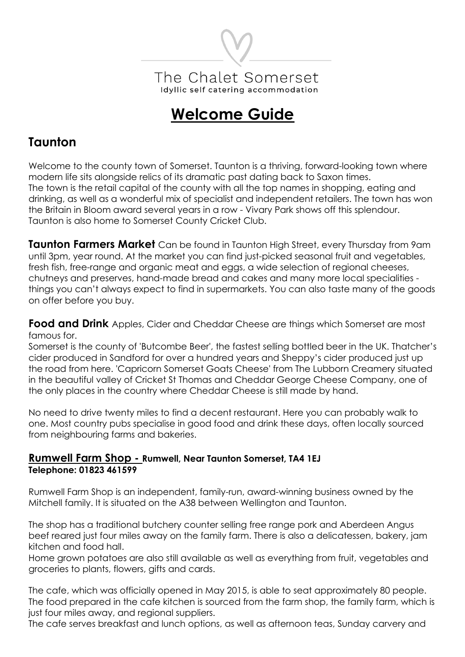

# **Welcome Guide**

## **Taunton**

Welcome to the county town of Somerset. Taunton is a thriving, forward-looking town where modern life sits alongside relics of its dramatic past dating back to Saxon times. The town is the retail capital of the county with all the top names in shopping, eating and drinking, as well as a wonderful mix of specialist and independent retailers. The town has won the Britain in Bloom award several years in a row - Vivary Park shows off this splendour. Taunton is also home to Somerset County Cricket Club.

**Taunton Farmers Market** Can be found in Taunton High Street, every Thursday from 9am until 3pm, year round. At the market you can find just-picked seasonal fruit and vegetables, fresh fish, free-range and organic meat and eggs, a wide selection of regional cheeses, chutneys and preserves, hand-made bread and cakes and many more local specialities things you can't always expect to find in supermarkets. You can also taste many of the goods on offer before you buy.

**Food and Drink** Apples, Cider and Cheddar Cheese are things which Somerset are most famous for.

Somerset is the county of 'Butcombe Beer', the fastest selling bottled beer in the UK. Thatcher's cider produced in Sandford for over a hundred years and Sheppy's cider produced just up the road from here. 'Capricorn Somerset Goats Cheese' from The Lubborn Creamery situated in the beautiful valley of Cricket St Thomas and Cheddar George Cheese Company, one of the only places in the country where Cheddar Cheese is still made by hand.

No need to drive twenty miles to find a decent restaurant. Here you can probably walk to one. Most country pubs specialise in good food and drink these days, often locally sourced from neighbouring farms and bakeries.

#### **Rumwell Farm Shop - Rumwell, Near Taunton Somerset, TA4 1EJ Telephone: 01823 461599**

Rumwell Farm Shop is an independent, family-run, award-winning business owned by the Mitchell family. It is situated on the A38 between Wellington and Taunton.

The shop has a traditional butchery counter selling free range pork and Aberdeen Angus beef reared just four miles away on the family farm. There is also a delicatessen, bakery, jam kitchen and food hall.

Home grown potatoes are also still available as well as everything from fruit, vegetables and groceries to plants, flowers, gifts and cards.

The cafe, which was officially opened in May 2015, is able to seat approximately 80 people. The food prepared in the cafe kitchen is sourced from the farm shop, the family farm, which is just four miles away, and regional suppliers.

The cafe serves breakfast and lunch options, as well as afternoon teas, Sunday carvery and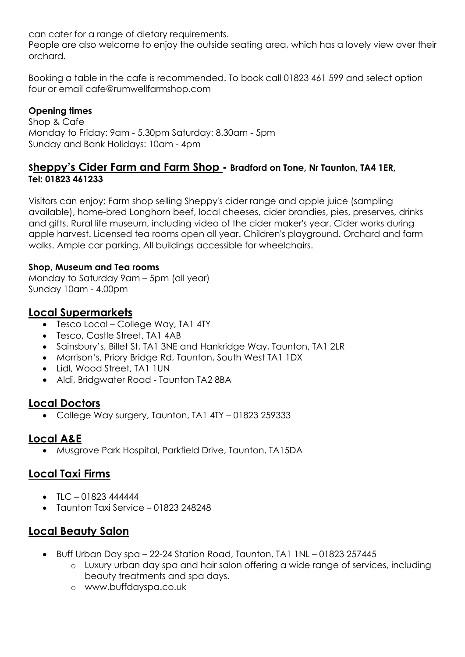can cater for a range of dietary requirements.

People are also welcome to enjoy the outside seating area, which has a lovely view over their orchard.

Booking a table in the cafe is recommended. To book call 01823 461 599 and select option four or email cafe@rumwellfarmshop.com

#### **Opening times**

Shop & Cafe Monday to Friday: 9am - 5.30pm Saturday: 8.30am - 5pm Sunday and Bank Holidays: 10am - 4pm

### **Sheppy's Cider Farm and Farm Shop - Bradford on Tone, Nr Taunton, TA4 1ER, Tel: 01823 461233**

Visitors can enjoy: Farm shop selling Sheppy's cider range and apple juice (sampling available), home-bred Longhorn beef, local cheeses, cider brandies, pies, preserves, drinks and gifts. Rural life museum, including video of the cider maker's year. Cider works during apple harvest. Licensed tea rooms open all year. Children's playground. Orchard and farm walks. Ample car parking. All buildings accessible for wheelchairs.

#### **Shop, Museum and Tea rooms**

Monday to Saturday 9am – 5pm (all year) Sunday 10am - 4.00pm

### **Local Supermarkets**

- Tesco Local College Way, TA1 4TY
- Tesco, Castle Street, TA1 4AB
- Sainsbury's, Billet St, TA1 3NE and Hankridge Way, Taunton, TA1 2LR
- Morrison's, Priory Bridge Rd, Taunton, South West TA1 1DX
- Lidl, Wood Street, TA1 1UN
- Aldi, Bridgwater Road Taunton TA2 8BA

## **Local Doctors**

• College Way surgery, Taunton, TA1 4TY – 01823 259333

## **Local A&E**

• Musgrove Park Hospital, Parkfield Drive, Taunton, TA15DA

## **Local Taxi Firms**

- $TIC 01823444444$
- Taunton Taxi Service 01823 248248

## **Local Beauty Salon**

- Buff Urban Day spa 22-24 Station Road, Taunton, TA1 1NL 01823 257445
	- o Luxury urban day spa and hair salon offering a wide range of services, including beauty treatments and spa days.
	- o www.buffdayspa.co.uk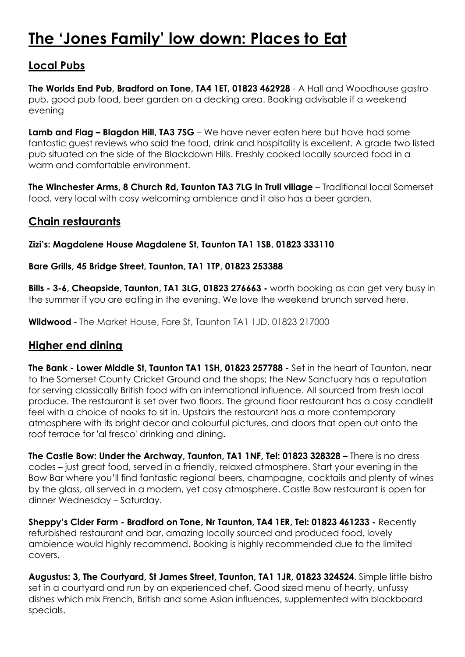## **The 'Jones Family' low down: Places to Eat**

## **Local Pubs**

**The Worlds End Pub, Bradford on Tone, TA4 1ET, 01823 462928** - A Hall and Woodhouse gastro pub, good pub food, beer garden on a decking area. Booking advisable if a weekend evening

**Lamb and Flag – Blagdon Hill, TA3 7SG** – We have never eaten here but have had some fantastic guest reviews who said the food, drink and hospitality is excellent. A grade two listed pub situated on the side of the Blackdown Hills. Freshly cooked locally sourced food in a warm and comfortable environment.

**The Winchester Arms, 8 Church Rd, Taunton TA3 7LG in Trull village** – Traditional local Somerset food, very local with cosy welcoming ambience and it also has a beer garden.

## **Chain restaurants**

#### **Zizi's: Magdalene House Magdalene St, Taunton TA1 1SB, 01823 333110**

#### **Bare Grills, 45 Bridge Street, Taunton, TA1 1TP, 01823 253388**

**Bills - 3-6, Cheapside, Taunton, TA1 3LG, 01823 276663 -** worth booking as can get very busy in the summer if you are eating in the evening. We love the weekend brunch served here.

**Wildwood** - The Market House, Fore St, Taunton TA1 1JD, 01823 217000

## **Higher end dining**

**The Bank - Lower Middle St, Taunton TA1 1SH, 01823 257788 -** Set in the heart of Taunton, near to the Somerset County Cricket Ground and the shops; the New Sanctuary has a reputation for serving classically British food with an international influence. All sourced from fresh local produce. The restaurant is set over two floors. The ground floor restaurant has a cosy candlelit feel with a choice of nooks to sit in. Upstairs the restaurant has a more contemporary atmosphere with its bright decor and colourful pictures, and doors that open out onto the roof terrace for 'al fresco' drinking and dining.

**The Castle Bow: Under the Archway, Taunton, TA1 1NF, Tel: 01823 328328 –** There is no dress codes – just great food, served in a friendly, relaxed atmosphere. Start your evening in the Bow Bar where you'll find fantastic regional beers, champagne, cocktails and plenty of wines by the glass, all served in a modern, yet cosy atmosphere. Castle Bow restaurant is open for dinner Wednesday – Saturday.

**Sheppy's Cider Farm - Bradford on Tone, Nr Taunton, TA4 1ER, Tel: 01823 461233 -** Recently refurbished restaurant and bar, amazing locally sourced and produced food, lovely ambience would highly recommend. Booking is highly recommended due to the limited covers.

**Augustus: 3, The Courtyard, St James Street, Taunton, TA1 1JR, 01823 324524**. Simple little bistro set in a courtyard and run by an experienced chef. Good sized menu of hearty, unfussy dishes which mix French, British and some Asian influences, supplemented with blackboard specials.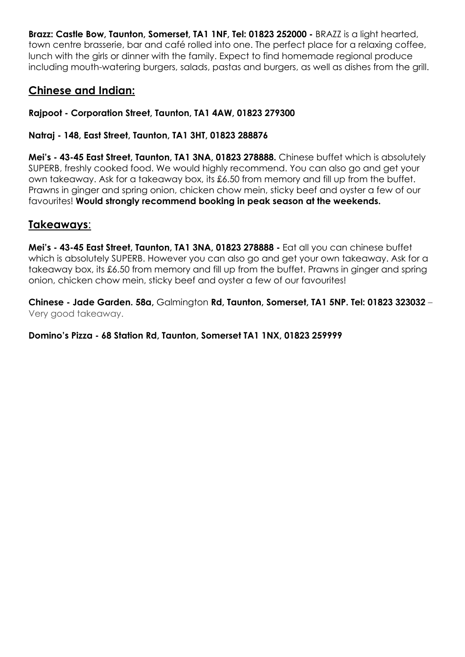**Brazz: Castle Bow, Taunton, Somerset, TA1 1NF, Tel: 01823 252000 -** BRAZZ is a light hearted, town centre brasserie, bar and café rolled into one. The perfect place for a relaxing coffee, lunch with the girls or dinner with the family. Expect to find homemade regional produce including mouth-watering burgers, salads, pastas and burgers, as well as dishes from the grill.

## **Chinese and Indian:**

**Rajpoot - Corporation Street, Taunton, TA1 4AW, 01823 279300**

#### **Natraj - 148, East Street, Taunton, TA1 3HT, 01823 288876**

**Mei's - 43-45 East Street, Taunton, TA1 3NA, 01823 278888.** Chinese buffet which is absolutely SUPERB, freshly cooked food. We would highly recommend. You can also go and get your own takeaway. Ask for a takeaway box, its £6.50 from memory and fill up from the buffet. Prawns in ginger and spring onion, chicken chow mein, sticky beef and oyster a few of our favourites! **Would strongly recommend booking in peak season at the weekends.** 

## **Takeaways**:

**Mei's - 43-45 East Street, Taunton, TA1 3NA, 01823 278888 -** Eat all you can chinese buffet which is absolutely SUPERB. However you can also go and get your own takeaway. Ask for a takeaway box, its £6.50 from memory and fill up from the buffet. Prawns in ginger and spring onion, chicken chow mein, sticky beef and oyster a few of our favourites!

**Chinese - Jade Garden. 58a,** Galmington **Rd, Taunton, Somerset, TA1 5NP. Tel: 01823 323032** – Very good takeaway.

#### **Domino's Pizza - 68 Station Rd, Taunton, Somerset TA1 1NX, 01823 259999**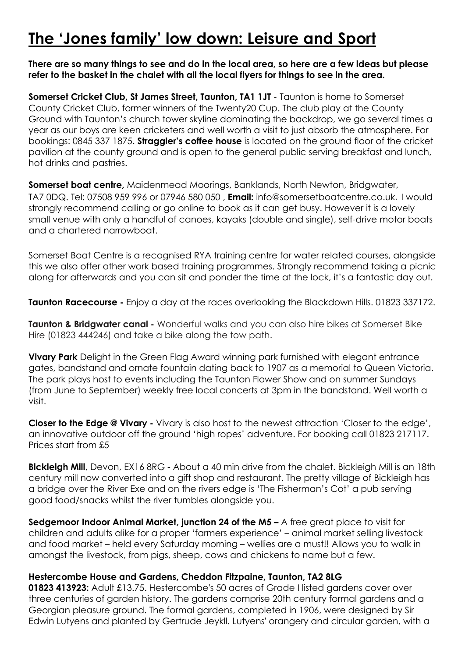## **The 'Jones family' low down: Leisure and Sport**

#### **There are so many things to see and do in the local area, so here are a few ideas but please refer to the basket in the chalet with all the local flyers for things to see in the area.**

**Somerset Cricket Club, St James Street, Taunton, TA1 1JT -** Taunton is home to Somerset County Cricket Club, former winners of the Twenty20 Cup. The club play at the County Ground with Taunton's church tower skyline dominating the backdrop, we go several times a year as our boys are keen cricketers and well worth a visit to just absorb the atmosphere. For bookings: 0845 337 1875. **Straggler's coffee house** is located on the ground floor of the cricket pavilion at the county ground and is open to the general public serving breakfast and lunch, hot drinks and pastries.

**Somerset boat centre,** Maidenmead Moorings, Banklands, North Newton, Bridgwater, TA7 0DQ. Tel: 07508 959 996 or 07946 580 050 , **Email:** info@somersetboatcentre.co.uk. I would strongly recommend calling or go online to book as it can get busy. However it is a lovely small venue with only a handful of canoes, kayaks (double and single), self-drive motor boats and a chartered narrowboat.

Somerset Boat Centre is a recognised RYA training centre for water related courses, alongside this we also offer other work based training programmes. Strongly recommend taking a picnic along for afterwards and you can sit and ponder the time at the lock, it's a fantastic day out.

**Taunton Racecourse -** Enjoy a day at the races overlooking the Blackdown Hills. 01823 337172.

**Taunton & Bridgwater canal -** Wonderful walks and you can also hire bikes at Somerset Bike Hire (01823 444246) and take a bike along the tow path.

**Vivary Park** Delight in the Green Flag Award winning park furnished with elegant entrance gates, bandstand and ornate fountain dating back to 1907 as a memorial to Queen Victoria. The park plays host to events including the Taunton Flower Show and on summer Sundays (from June to September) weekly free local concerts at 3pm in the bandstand. Well worth a visit.

**Closer to the Edge @ Vivary -** Vivary is also host to the newest attraction 'Closer to the edge', an innovative outdoor off the ground 'high ropes' adventure. For booking call 01823 217117. Prices start from £5

**Bickleigh Mill**, Devon, EX16 8RG - About a 40 min drive from the chalet. Bickleigh Mill is an 18th century mill now converted into a gift shop and restaurant. The pretty village of Bickleigh has a bridge over the River Exe and on the rivers edge is 'The Fisherman's Cot' a pub serving good food/snacks whilst the river tumbles alongside you.

**Sedgemoor Indoor Animal Market, junction 24 of the M5 –** A free great place to visit for children and adults alike for a proper 'farmers experience' – animal market selling livestock and food market – held every Saturday morning – wellies are a must!! Allows you to walk in amongst the livestock, from pigs, sheep, cows and chickens to name but a few.

#### **Hestercombe House and Gardens, Cheddon Fitzpaine, Taunton, TA2 8LG**

**01823 413923:** Adult £13.75. Hestercombe's 50 acres of Grade I listed gardens cover over three centuries of garden history. The gardens comprise 20th century formal gardens and a Georgian pleasure ground. The formal gardens, completed in 1906, were designed by Sir Edwin Lutyens and planted by Gertrude Jeykll. Lutyens' orangery and circular garden, with a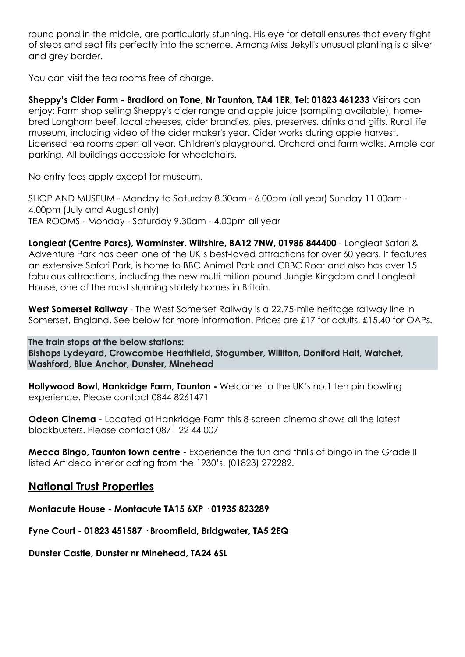round pond in the middle, are particularly stunning. His eye for detail ensures that every flight of steps and seat fits perfectly into the scheme. Among Miss Jekyll's unusual planting is a silver and grey border.

You can visit the tea rooms free of charge.

**Sheppy's Cider Farm - Bradford on Tone, Nr Taunton, TA4 1ER, Tel: 01823 461233** Visitors can enjoy: Farm shop selling Sheppy's cider range and apple juice (sampling available), homebred Longhorn beef, local cheeses, cider brandies, pies, preserves, drinks and gifts. Rural life museum, including video of the cider maker's year. Cider works during apple harvest. Licensed tea rooms open all year. Children's playground. Orchard and farm walks. Ample car parking. All buildings accessible for wheelchairs.

No entry fees apply except for museum.

SHOP AND MUSEUM - Monday to Saturday 8.30am - 6.00pm (all year) Sunday 11.00am - 4.00pm (July and August only) TEA ROOMS - Monday - Saturday 9.30am - 4.00pm all year

**Longleat (Centre Parcs), Warminster, Wiltshire, BA12 7NW, 01985 844400** - Longleat Safari & Adventure Park has been one of the UK's best-loved attractions for over 60 years. It features an extensive Safari Park, is home to BBC Animal Park and CBBC Roar and also has over 15 fabulous attractions, including the new multi million pound Jungle Kingdom and Longleat House, one of the most stunning stately homes in Britain.

**West Somerset Railway** - The West Somerset Railway is a 22.75-mile heritage railway line in Somerset, England. See below for more information. Prices are £17 for adults, £15.40 for OAPs.

**The train stops at the below stations: Bishops Lydeyard, Crowcombe Heathfield, Stogumber, Williton, Doniford Halt, Watchet, Washford, Blue Anchor, Dunster, Minehead**

**Hollywood Bowl, Hankridge Farm, Taunton -** Welcome to the UK's no.1 ten pin bowling experience. Please contact 0844 8261471

**Odeon Cinema -** Located at Hankridge Farm this 8-screen cinema shows all the latest blockbusters. Please contact 0871 22 44 007

**Mecca Bingo, Taunton town centre -** Experience the fun and thrills of bingo in the Grade II listed Art deco interior dating from the 1930's. (01823) 272282.

#### **National Trust Properties**

**Montacute House - Montacute TA15 6XP · 01935 823289** 

**Fyne Court - 01823 451587 · Broomfield, Bridgwater, TA5 2EQ** 

**Dunster Castle, Dunster nr Minehead, TA24 6SL**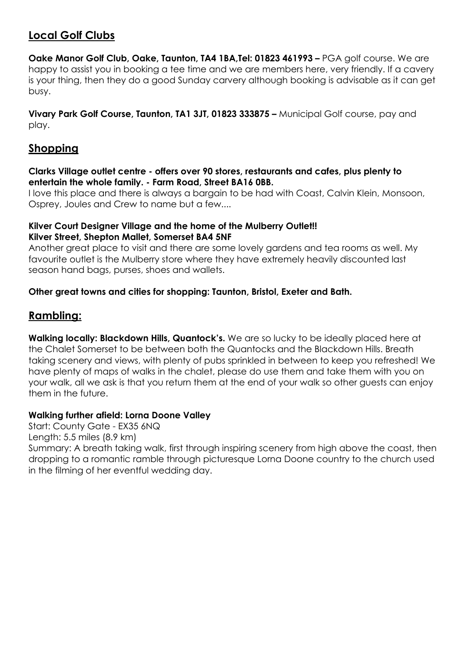## **Local Golf Clubs**

**Oake Manor Golf Club, Oake, Taunton, TA4 1BA,Tel: 01823 461993 –** PGA golf course. We are happy to assist you in booking a tee time and we are members here, very friendly. If a cavery is your thing, then they do a good Sunday carvery although booking is advisable as it can get busy.

**Vivary Park Golf Course, Taunton, TA1 3JT, 01823 333875 –** Municipal Golf course, pay and play.

## **Shopping**

#### **Clarks Village outlet centre - offers over 90 stores, restaurants and cafes, plus plenty to entertain the whole family. - Farm Road, Street BA16 0BB.**

I love this place and there is always a bargain to be had with Coast, Calvin Klein, Monsoon, Osprey, Joules and Crew to name but a few....

#### **Kilver Court Designer Village and the home of the Mulberry Outlet!! Kilver Street, Shepton Mallet, Somerset BA4 5NF**

Another great place to visit and there are some lovely gardens and tea rooms as well. My favourite outlet is the Mulberry store where they have extremely heavily discounted last season hand bags, purses, shoes and wallets.

#### **Other great towns and cities for shopping: Taunton, Bristol, Exeter and Bath.**

### **Rambling:**

**Walking locally: Blackdown Hills, Quantock's.** We are so lucky to be ideally placed here at the Chalet Somerset to be between both the Quantocks and the Blackdown Hills. Breath taking scenery and views, with plenty of pubs sprinkled in between to keep you refreshed! We have plenty of maps of walks in the chalet, please do use them and take them with you on your walk, all we ask is that you return them at the end of your walk so other guests can enjoy them in the future.

#### **Walking further afield: Lorna Doone Valley**

Start: County Gate - EX35 6NQ Length: 5.5 miles (8.9 km) Summary: A breath taking walk, first through inspiring scenery from high above the coast, then dropping to a romantic ramble through picturesque Lorna Doone country to the church used in the filming of her eventful wedding day.